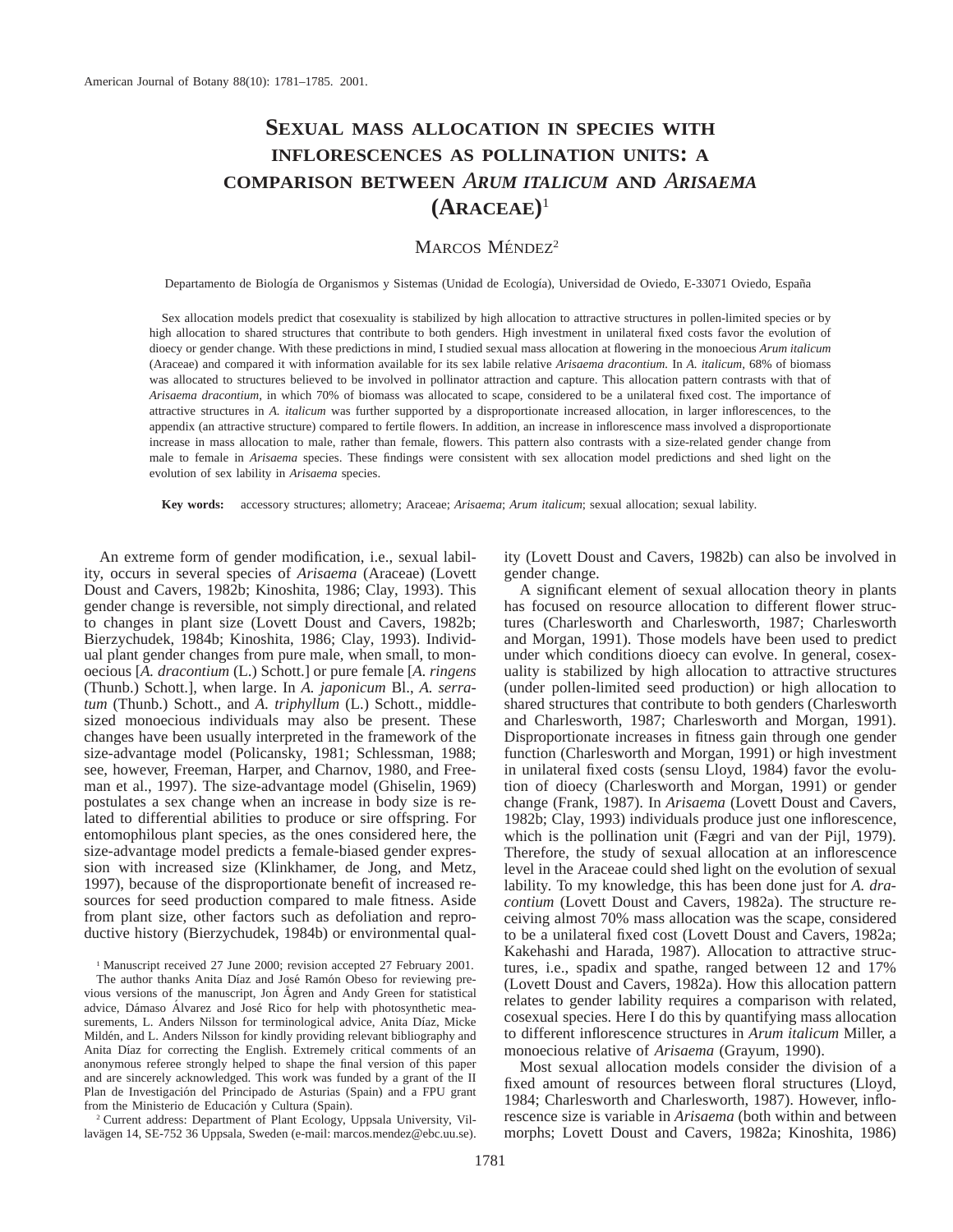# **SEXUAL MASS ALLOCATION IN SPECIES WITH INFLORESCENCES AS POLLINATION UNITS: A COMPARISON BETWEEN** *ARUM ITALICUM* **AND** *ARISAEMA* **(ARACEAE)**<sup>1</sup>

## MARCOS MÉNDEZ<sup>2</sup>

Departamento de Biología de Organismos y Sistemas (Unidad de Ecología), Universidad de Oviedo, E-33071 Oviedo, España

Sex allocation models predict that cosexuality is stabilized by high allocation to attractive structures in pollen-limited species or by high allocation to shared structures that contribute to both genders. High investment in unilateral fixed costs favor the evolution of dioecy or gender change. With these predictions in mind, I studied sexual mass allocation at flowering in the monoecious *Arum italicum* (Araceae) and compared it with information available for its sex labile relative *Arisaema dracontium.* In *A. italicum,* 68% of biomass was allocated to structures believed to be involved in pollinator attraction and capture. This allocation pattern contrasts with that of *Arisaema dracontium,* in which 70% of biomass was allocated to scape, considered to be a unilateral fixed cost. The importance of attractive structures in *A. italicum* was further supported by a disproportionate increased allocation, in larger inflorescences, to the appendix (an attractive structure) compared to fertile flowers. In addition, an increase in inflorescence mass involved a disproportionate increase in mass allocation to male, rather than female, flowers. This pattern also contrasts with a size-related gender change from male to female in *Arisaema* species. These findings were consistent with sex allocation model predictions and shed light on the evolution of sex lability in *Arisaema* species.

**Key words:** accessory structures; allometry; Araceae; *Arisaema*; *Arum italicum*; sexual allocation; sexual lability.

An extreme form of gender modification, i.e., sexual lability, occurs in several species of *Arisaema* (Araceae) (Lovett Doust and Cavers, 1982b; Kinoshita, 1986; Clay, 1993). This gender change is reversible, not simply directional, and related to changes in plant size (Lovett Doust and Cavers, 1982b; Bierzychudek, 1984b; Kinoshita, 1986; Clay, 1993). Individual plant gender changes from pure male, when small, to monoecious [*A. dracontium* (L.) Schott.] or pure female [*A. ringens* (Thunb.) Schott.], when large. In *A. japonicum* Bl., *A. serratum* (Thunb.) Schott., and *A. triphyllum* (L.) Schott., middlesized monoecious individuals may also be present. These changes have been usually interpreted in the framework of the size-advantage model (Policansky, 1981; Schlessman, 1988; see, however, Freeman, Harper, and Charnov, 1980, and Freeman et al., 1997). The size-advantage model (Ghiselin, 1969) postulates a sex change when an increase in body size is related to differential abilities to produce or sire offspring. For entomophilous plant species, as the ones considered here, the size-advantage model predicts a female-biased gender expression with increased size (Klinkhamer, de Jong, and Metz, 1997), because of the disproportionate benefit of increased resources for seed production compared to male fitness. Aside from plant size, other factors such as defoliation and reproductive history (Bierzychudek, 1984b) or environmental qual-

<sup>1</sup> Manuscript received 27 June 2000; revision accepted 27 February 2001.

The author thanks Anita Díaz and José Ramón Obeso for reviewing previous versions of the manuscript, Jon Ågren and Andy Green for statistical advice, Dámaso Álvarez and José Rico for help with photosynthetic measurements, L. Anders Nilsson for terminological advice, Anita Díaz, Micke Mildén, and L. Anders Nilsson for kindly providing relevant bibliography and Anita Díaz for correcting the English. Extremely critical comments of an anonymous referee strongly helped to shape the final version of this paper and are sincerely acknowledged. This work was funded by a grant of the II Plan de Investigación del Principado de Asturias (Spain) and a FPU grant from the Ministerio de Educación y Cultura (Spain).

<sup>2</sup> Current address: Department of Plant Ecology, Uppsala University, Villavägen 14, SE-752 36 Uppsala, Sweden (e-mail: marcos.mendez@ebc.uu.se).

ity (Lovett Doust and Cavers, 1982b) can also be involved in gender change.

A significant element of sexual allocation theory in plants has focused on resource allocation to different flower structures (Charlesworth and Charlesworth, 1987; Charlesworth and Morgan, 1991). Those models have been used to predict under which conditions dioecy can evolve. In general, cosexuality is stabilized by high allocation to attractive structures (under pollen-limited seed production) or high allocation to shared structures that contribute to both genders (Charlesworth and Charlesworth, 1987; Charlesworth and Morgan, 1991). Disproportionate increases in fitness gain through one gender function (Charlesworth and Morgan, 1991) or high investment in unilateral fixed costs (sensu Lloyd, 1984) favor the evolution of dioecy (Charlesworth and Morgan, 1991) or gender change (Frank, 1987). In *Arisaema* (Lovett Doust and Cavers, 1982b; Clay, 1993) individuals produce just one inflorescence, which is the pollination unit (Fægri and van der Pijl, 1979). Therefore, the study of sexual allocation at an inflorescence level in the Araceae could shed light on the evolution of sexual lability. To my knowledge, this has been done just for *A. dracontium* (Lovett Doust and Cavers, 1982a). The structure receiving almost 70% mass allocation was the scape, considered to be a unilateral fixed cost (Lovett Doust and Cavers, 1982a; Kakehashi and Harada, 1987). Allocation to attractive structures, i.e., spadix and spathe, ranged between 12 and 17% (Lovett Doust and Cavers, 1982a). How this allocation pattern relates to gender lability requires a comparison with related, cosexual species. Here I do this by quantifying mass allocation to different inflorescence structures in *Arum italicum* Miller, a monoecious relative of *Arisaema* (Grayum, 1990).

Most sexual allocation models consider the division of a fixed amount of resources between floral structures (Lloyd, 1984; Charlesworth and Charlesworth, 1987). However, inflorescence size is variable in *Arisaema* (both within and between morphs; Lovett Doust and Cavers, 1982a; Kinoshita, 1986)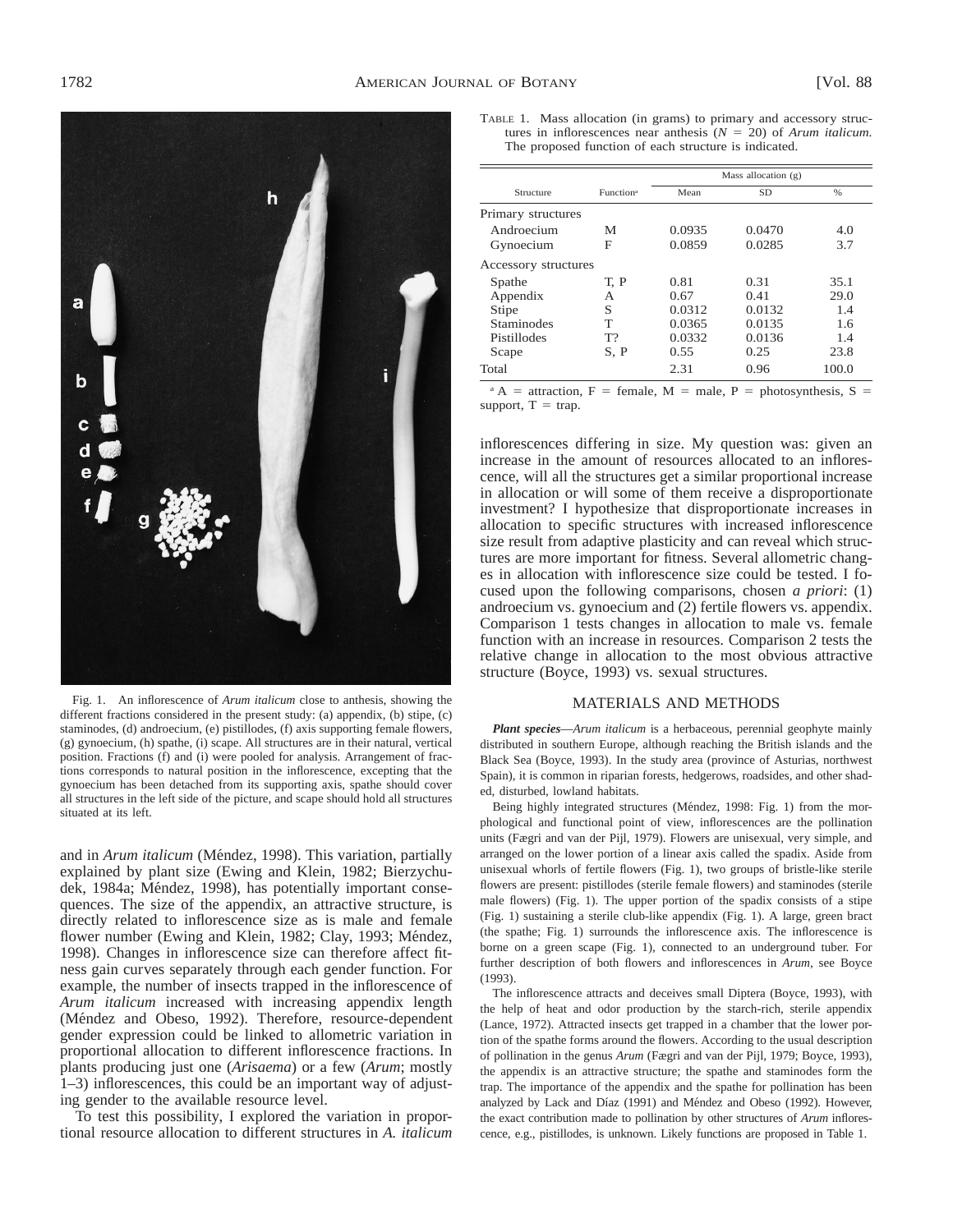

Fig. 1. An inflorescence of *Arum italicum* close to anthesis, showing the different fractions considered in the present study: (a) appendix, (b) stipe, (c) staminodes, (d) androecium, (e) pistillodes, (f) axis supporting female flowers, (g) gynoecium, (h) spathe, (i) scape. All structures are in their natural, vertical position. Fractions (f) and (i) were pooled for analysis. Arrangement of fractions corresponds to natural position in the inflorescence, excepting that the gynoecium has been detached from its supporting axis, spathe should cover all structures in the left side of the picture, and scape should hold all structures situated at its left.

and in *Arum italicum* (Méndez, 1998). This variation, partially explained by plant size (Ewing and Klein, 1982; Bierzychudek, 1984a; Méndez, 1998), has potentially important consequences. The size of the appendix, an attractive structure, is directly related to inflorescence size as is male and female flower number (Ewing and Klein, 1982; Clay, 1993; Méndez, 1998). Changes in inflorescence size can therefore affect fitness gain curves separately through each gender function. For example, the number of insects trapped in the inflorescence of *Arum italicum* increased with increasing appendix length (Méndez and Obeso, 1992). Therefore, resource-dependent gender expression could be linked to allometric variation in proportional allocation to different inflorescence fractions. In plants producing just one (*Arisaema*) or a few (*Arum*; mostly 1–3) inflorescences, this could be an important way of adjusting gender to the available resource level.

To test this possibility, I explored the variation in proportional resource allocation to different structures in *A. italicum*

TABLE 1. Mass allocation (in grams) to primary and accessory structures in inflorescences near anthesis  $(N = 20)$  of *Arum italicum*. The proposed function of each structure is indicated.

| Structure            | Function <sup>a</sup> | Mass allocation $(g)$ |           |       |
|----------------------|-----------------------|-----------------------|-----------|-------|
|                      |                       | Mean                  | <b>SD</b> | $\%$  |
| Primary structures   |                       |                       |           |       |
| Androecium           | М                     | 0.0935                | 0.0470    | 4.0   |
| Gynoecium            | F                     | 0.0859                | 0.0285    | 3.7   |
| Accessory structures |                       |                       |           |       |
| Spathe               | T. P                  | 0.81                  | 0.31      | 35.1  |
| Appendix             | А                     | 0.67                  | 0.41      | 29.0  |
| <b>Stipe</b>         | S                     | 0.0312                | 0.0132    | 1.4   |
| <b>Staminodes</b>    | T                     | 0.0365                | 0.0135    | 1.6   |
| Pistillodes          | $T$ ?                 | 0.0332                | 0.0136    | 1.4   |
| Scape                | S, P                  | 0.55                  | 0.25      | 23.8  |
| Total                |                       | 2.31                  | 0.96      | 100.0 |

<sup>a</sup> A = attraction, F = female, M = male, P = photosynthesis, S = support,  $T = \text{trap}$ .

inflorescences differing in size. My question was: given an increase in the amount of resources allocated to an inflorescence, will all the structures get a similar proportional increase in allocation or will some of them receive a disproportionate investment? I hypothesize that disproportionate increases in allocation to specific structures with increased inflorescence size result from adaptive plasticity and can reveal which structures are more important for fitness. Several allometric changes in allocation with inflorescence size could be tested. I focused upon the following comparisons, chosen *a priori*: (1) androecium vs. gynoecium and (2) fertile flowers vs. appendix. Comparison 1 tests changes in allocation to male vs. female function with an increase in resources. Comparison 2 tests the relative change in allocation to the most obvious attractive structure (Boyce, 1993) vs. sexual structures.

#### MATERIALS AND METHODS

*Plant species*—*Arum italicum* is a herbaceous, perennial geophyte mainly distributed in southern Europe, although reaching the British islands and the Black Sea (Boyce, 1993). In the study area (province of Asturias, northwest Spain), it is common in riparian forests, hedgerows, roadsides, and other shaded, disturbed, lowland habitats.

Being highly integrated structures (Méndez, 1998: Fig. 1) from the morphological and functional point of view, inflorescences are the pollination units (Fægri and van der Pijl, 1979). Flowers are unisexual, very simple, and arranged on the lower portion of a linear axis called the spadix. Aside from unisexual whorls of fertile flowers (Fig. 1), two groups of bristle-like sterile flowers are present: pistillodes (sterile female flowers) and staminodes (sterile male flowers) (Fig. 1). The upper portion of the spadix consists of a stipe (Fig. 1) sustaining a sterile club-like appendix (Fig. 1). A large, green bract (the spathe; Fig. 1) surrounds the inflorescence axis. The inflorescence is borne on a green scape (Fig. 1), connected to an underground tuber. For further description of both flowers and inflorescences in *Arum,* see Boyce (1993).

The inflorescence attracts and deceives small Diptera (Boyce, 1993), with the help of heat and odor production by the starch-rich, sterile appendix (Lance, 1972). Attracted insects get trapped in a chamber that the lower portion of the spathe forms around the flowers. According to the usual description of pollination in the genus *Arum* (Fægri and van der Pijl, 1979; Boyce, 1993), the appendix is an attractive structure; the spathe and staminodes form the trap. The importance of the appendix and the spathe for pollination has been analyzed by Lack and Díaz (1991) and Méndez and Obeso (1992). However, the exact contribution made to pollination by other structures of *Arum* inflorescence, e.g., pistillodes, is unknown. Likely functions are proposed in Table 1.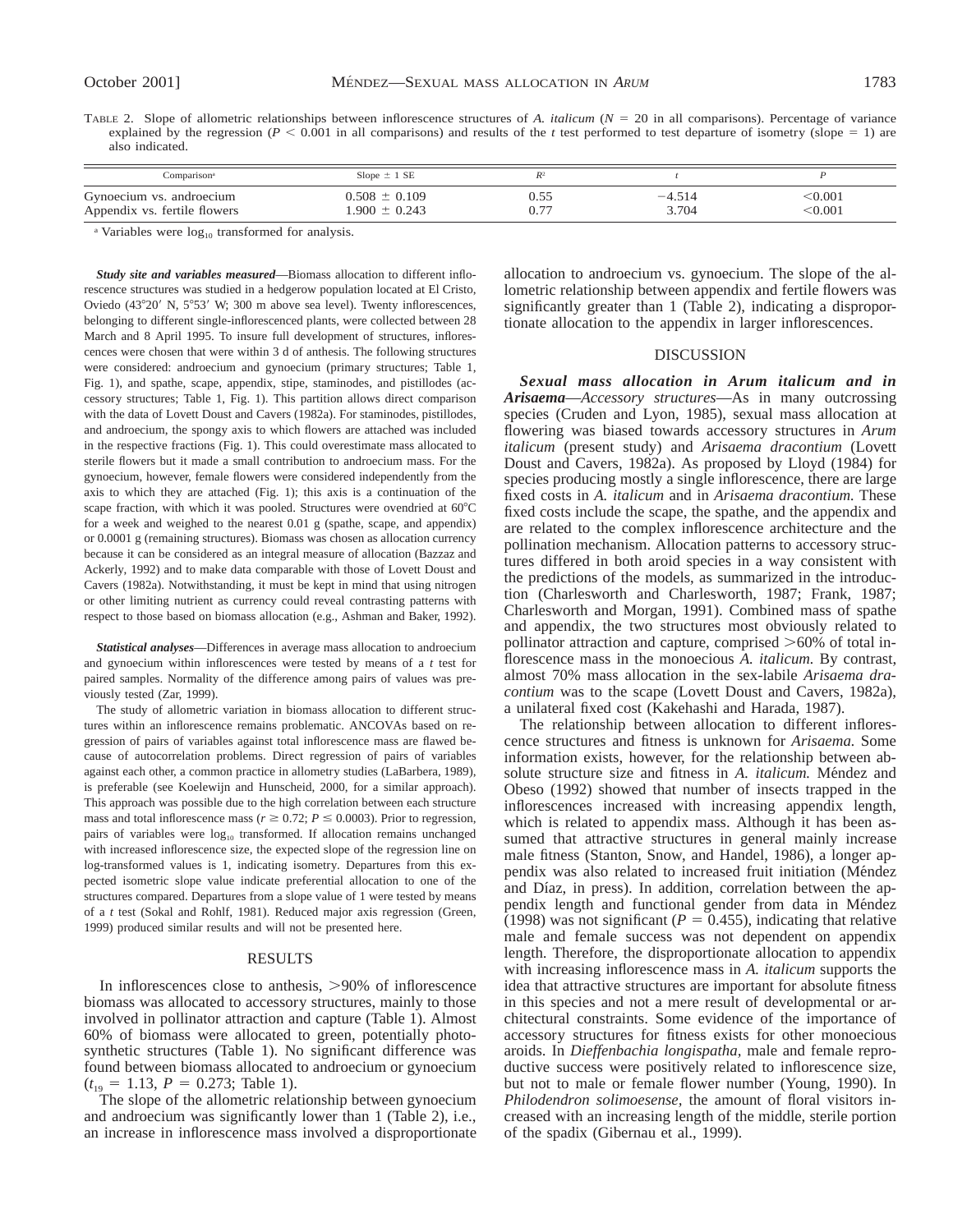TABLE 2. Slope of allometric relationships between inflorescence structures of *A. italicum* ( $N = 20$  in all comparisons). Percentage of variance explained by the regression  $(P < 0.001$  in all comparisons) and results of the *t* test performed to test departure of isometry (slope = 1) are also indicated.

| Comparison <sup>a</sup>      | Slope $\pm$ 1 SE  |      |          |         |
|------------------------------|-------------------|------|----------|---------|
| Gynoecium vs. androecium     | $0.508 \pm 0.109$ | 0.55 | $-4.514$ | ∶0.001  |
| Appendix vs. fertile flowers | $.900 \pm 0.243$  | 0.77 | 3.704    | < 0.001 |

<sup>a</sup> Variables were  $log_{10}$  transformed for analysis.

*Study site and variables measured*—Biomass allocation to different inflorescence structures was studied in a hedgerow population located at El Cristo, Oviedo (43°20′ N, 5°53′ W; 300 m above sea level). Twenty inflorescences, belonging to different single-inflorescenced plants, were collected between 28 March and 8 April 1995. To insure full development of structures, inflorescences were chosen that were within 3 d of anthesis. The following structures were considered: androecium and gynoecium (primary structures; Table 1, Fig. 1), and spathe, scape, appendix, stipe, staminodes, and pistillodes (accessory structures; Table 1, Fig. 1). This partition allows direct comparison with the data of Lovett Doust and Cavers (1982a). For staminodes, pistillodes, and androecium, the spongy axis to which flowers are attached was included in the respective fractions (Fig. 1). This could overestimate mass allocated to sterile flowers but it made a small contribution to androecium mass. For the gynoecium, however, female flowers were considered independently from the axis to which they are attached (Fig. 1); this axis is a continuation of the scape fraction, with which it was pooled. Structures were ovendried at  $60^{\circ}$ C for a week and weighed to the nearest 0.01 g (spathe, scape, and appendix) or 0.0001 g (remaining structures). Biomass was chosen as allocation currency because it can be considered as an integral measure of allocation (Bazzaz and Ackerly, 1992) and to make data comparable with those of Lovett Doust and Cavers (1982a). Notwithstanding, it must be kept in mind that using nitrogen or other limiting nutrient as currency could reveal contrasting patterns with respect to those based on biomass allocation (e.g., Ashman and Baker, 1992).

*Statistical analyses*—Differences in average mass allocation to androecium and gynoecium within inflorescences were tested by means of a *t* test for paired samples. Normality of the difference among pairs of values was previously tested (Zar, 1999).

The study of allometric variation in biomass allocation to different structures within an inflorescence remains problematic. ANCOVAs based on regression of pairs of variables against total inflorescence mass are flawed because of autocorrelation problems. Direct regression of pairs of variables against each other, a common practice in allometry studies (LaBarbera, 1989), is preferable (see Koelewijn and Hunscheid, 2000, for a similar approach). This approach was possible due to the high correlation between each structure mass and total inflorescence mass ( $r \ge 0.72$ ;  $P \le 0.0003$ ). Prior to regression, pairs of variables were  $log_{10}$  transformed. If allocation remains unchanged with increased inflorescence size, the expected slope of the regression line on log-transformed values is 1, indicating isometry. Departures from this expected isometric slope value indicate preferential allocation to one of the structures compared. Departures from a slope value of 1 were tested by means of a *t* test (Sokal and Rohlf, 1981). Reduced major axis regression (Green, 1999) produced similar results and will not be presented here.

#### RESULTS

In inflorescences close to anthesis,  $>90\%$  of inflorescence biomass was allocated to accessory structures, mainly to those involved in pollinator attraction and capture (Table 1). Almost 60% of biomass were allocated to green, potentially photosynthetic structures (Table 1). No significant difference was found between biomass allocated to androecium or gynoecium  $(t_{19} = 1.13, P = 0.273;$  Table 1).

The slope of the allometric relationship between gynoecium and androecium was significantly lower than 1 (Table 2), i.e., an increase in inflorescence mass involved a disproportionate

allocation to androecium vs. gynoecium. The slope of the allometric relationship between appendix and fertile flowers was significantly greater than 1 (Table 2), indicating a disproportionate allocation to the appendix in larger inflorescences.

### DISCUSSION

*Sexual mass allocation in Arum italicum and in Arisaema*—*Accessory structures*—As in many outcrossing species (Cruden and Lyon, 1985), sexual mass allocation at flowering was biased towards accessory structures in *Arum italicum* (present study) and *Arisaema dracontium* (Lovett Doust and Cavers, 1982a). As proposed by Lloyd (1984) for species producing mostly a single inflorescence, there are large fixed costs in *A. italicum* and in *Arisaema dracontium.* These fixed costs include the scape, the spathe, and the appendix and are related to the complex inflorescence architecture and the pollination mechanism. Allocation patterns to accessory structures differed in both aroid species in a way consistent with the predictions of the models, as summarized in the introduction (Charlesworth and Charlesworth, 1987; Frank, 1987; Charlesworth and Morgan, 1991). Combined mass of spathe and appendix, the two structures most obviously related to pollinator attraction and capture, comprised  $>60\%$  of total inflorescence mass in the monoecious *A. italicum.* By contrast, almost 70% mass allocation in the sex-labile *Arisaema dracontium* was to the scape (Lovett Doust and Cavers, 1982a), a unilateral fixed cost (Kakehashi and Harada, 1987).

The relationship between allocation to different inflorescence structures and fitness is unknown for *Arisaema.* Some information exists, however, for the relationship between absolute structure size and fitness in *A. italicum*. Méndez and Obeso (1992) showed that number of insects trapped in the inflorescences increased with increasing appendix length, which is related to appendix mass. Although it has been assumed that attractive structures in general mainly increase male fitness (Stanton, Snow, and Handel, 1986), a longer appendix was also related to increased fruit initiation (Méndez and Díaz, in press). In addition, correlation between the appendix length and functional gender from data in Méndez (1998) was not significant ( $P = 0.455$ ), indicating that relative male and female success was not dependent on appendix length. Therefore, the disproportionate allocation to appendix with increasing inflorescence mass in *A. italicum* supports the idea that attractive structures are important for absolute fitness in this species and not a mere result of developmental or architectural constraints. Some evidence of the importance of accessory structures for fitness exists for other monoecious aroids. In *Dieffenbachia longispatha,* male and female reproductive success were positively related to inflorescence size, but not to male or female flower number (Young, 1990). In *Philodendron solimoesense,* the amount of floral visitors increased with an increasing length of the middle, sterile portion of the spadix (Gibernau et al., 1999).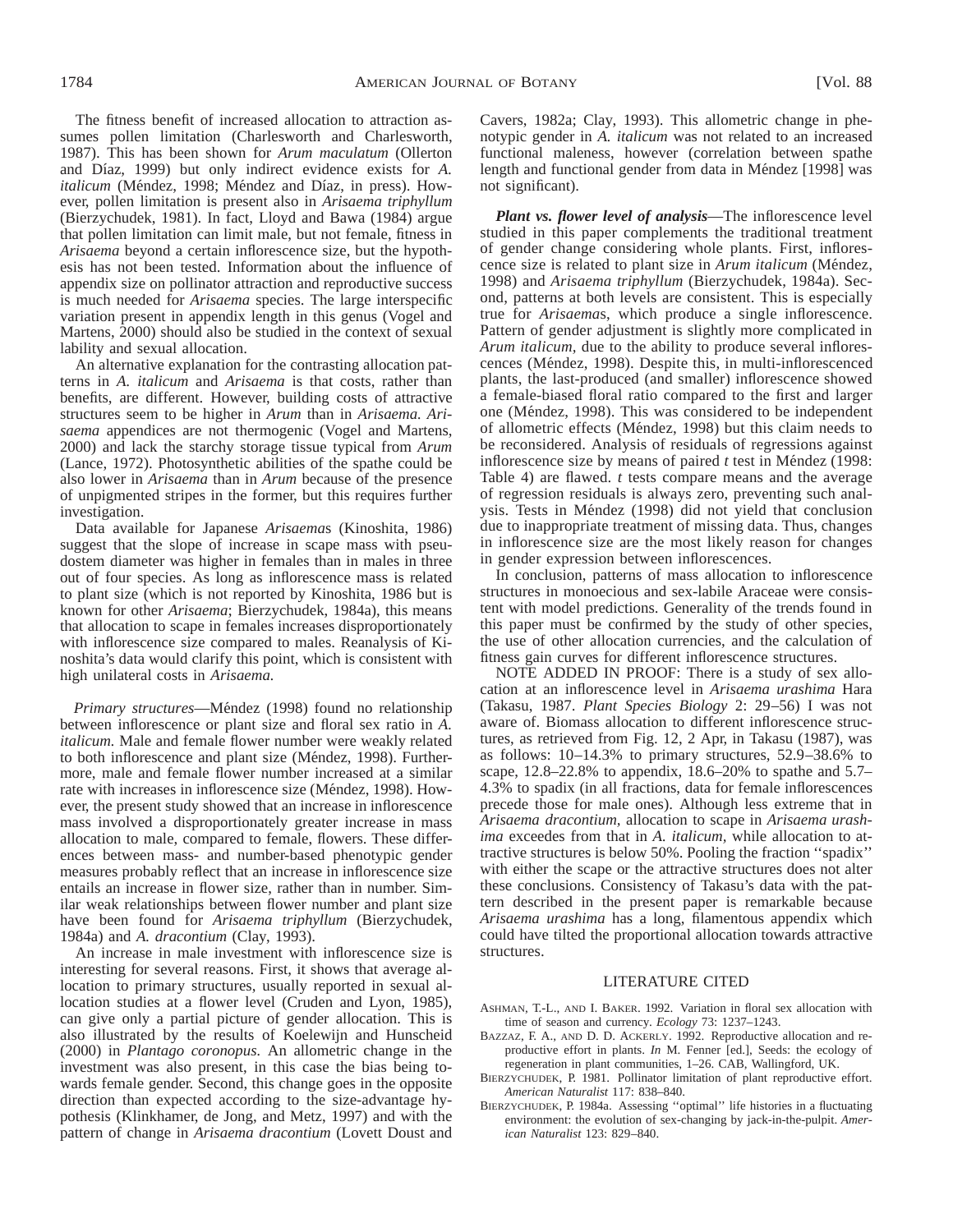The fitness benefit of increased allocation to attraction assumes pollen limitation (Charlesworth and Charlesworth, 1987). This has been shown for *Arum maculatum* (Ollerton and Díaz, 1999) but only indirect evidence exists for *A*. *italicum* (Méndez, 1998; Méndez and Díaz, in press). However, pollen limitation is present also in *Arisaema triphyllum* (Bierzychudek, 1981). In fact, Lloyd and Bawa (1984) argue that pollen limitation can limit male, but not female, fitness in *Arisaema* beyond a certain inflorescence size, but the hypothesis has not been tested. Information about the influence of appendix size on pollinator attraction and reproductive success is much needed for *Arisaema* species. The large interspecific variation present in appendix length in this genus (Vogel and Martens, 2000) should also be studied in the context of sexual lability and sexual allocation.

An alternative explanation for the contrasting allocation patterns in *A. italicum* and *Arisaema* is that costs, rather than benefits, are different. However, building costs of attractive structures seem to be higher in *Arum* than in *Arisaema. Arisaema* appendices are not thermogenic (Vogel and Martens, 2000) and lack the starchy storage tissue typical from *Arum* (Lance, 1972). Photosynthetic abilities of the spathe could be also lower in *Arisaema* than in *Arum* because of the presence of unpigmented stripes in the former, but this requires further investigation.

Data available for Japanese *Arisaema*s (Kinoshita, 1986) suggest that the slope of increase in scape mass with pseudostem diameter was higher in females than in males in three out of four species. As long as inflorescence mass is related to plant size (which is not reported by Kinoshita, 1986 but is known for other *Arisaema*; Bierzychudek, 1984a), this means that allocation to scape in females increases disproportionately with inflorescence size compared to males. Reanalysis of Kinoshita's data would clarify this point, which is consistent with high unilateral costs in *Arisaema.*

Primary structures—Méndez (1998) found no relationship between inflorescence or plant size and floral sex ratio in *A. italicum.* Male and female flower number were weakly related to both inflorescence and plant size (Méndez, 1998). Furthermore, male and female flower number increased at a similar rate with increases in inflorescence size (Méndez, 1998). However, the present study showed that an increase in inflorescence mass involved a disproportionately greater increase in mass allocation to male, compared to female, flowers. These differences between mass- and number-based phenotypic gender measures probably reflect that an increase in inflorescence size entails an increase in flower size, rather than in number. Similar weak relationships between flower number and plant size have been found for *Arisaema triphyllum* (Bierzychudek, 1984a) and *A. dracontium* (Clay, 1993).

An increase in male investment with inflorescence size is interesting for several reasons. First, it shows that average allocation to primary structures, usually reported in sexual allocation studies at a flower level (Cruden and Lyon, 1985), can give only a partial picture of gender allocation. This is also illustrated by the results of Koelewijn and Hunscheid (2000) in *Plantago coronopus.* An allometric change in the investment was also present, in this case the bias being towards female gender. Second, this change goes in the opposite direction than expected according to the size-advantage hypothesis (Klinkhamer, de Jong, and Metz, 1997) and with the pattern of change in *Arisaema dracontium* (Lovett Doust and Cavers, 1982a; Clay, 1993). This allometric change in phenotypic gender in *A. italicum* was not related to an increased functional maleness, however (correlation between spathe length and functional gender from data in Méndez [1998] was not significant).

*Plant vs. flower level of analysis*—The inflorescence level studied in this paper complements the traditional treatment of gender change considering whole plants. First, inflorescence size is related to plant size in *Arum italicum* (Méndez, 1998) and *Arisaema triphyllum* (Bierzychudek, 1984a). Second, patterns at both levels are consistent. This is especially true for *Arisaema*s, which produce a single inflorescence. Pattern of gender adjustment is slightly more complicated in *Arum italicum,* due to the ability to produce several inflorescences (Méndez, 1998). Despite this, in multi-inflorescenced plants, the last-produced (and smaller) inflorescence showed a female-biased floral ratio compared to the first and larger one (Méndez, 1998). This was considered to be independent of allometric effects (Méndez, 1998) but this claim needs to be reconsidered. Analysis of residuals of regressions against inflorescence size by means of paired  $t$  test in Méndez (1998: Table 4) are flawed. *t* tests compare means and the average of regression residuals is always zero, preventing such analysis. Tests in Méndez (1998) did not yield that conclusion due to inappropriate treatment of missing data. Thus, changes in inflorescence size are the most likely reason for changes in gender expression between inflorescences.

In conclusion, patterns of mass allocation to inflorescence structures in monoecious and sex-labile Araceae were consistent with model predictions. Generality of the trends found in this paper must be confirmed by the study of other species, the use of other allocation currencies, and the calculation of fitness gain curves for different inflorescence structures.

NOTE ADDED IN PROOF: There is a study of sex allocation at an inflorescence level in *Arisaema urashima* Hara (Takasu, 1987. *Plant Species Biology* 2: 29–56) I was not aware of. Biomass allocation to different inflorescence structures, as retrieved from Fig. 12, 2 Apr, in Takasu (1987), was as follows: 10–14.3% to primary structures, 52.9–38.6% to scape, 12.8–22.8% to appendix, 18.6–20% to spathe and 5.7– 4.3% to spadix (in all fractions, data for female inflorescences precede those for male ones). Although less extreme that in *Arisaema dracontium,* allocation to scape in *Arisaema urashima* exceedes from that in *A. italicum,* while allocation to attractive structures is below 50%. Pooling the fraction ''spadix'' with either the scape or the attractive structures does not alter these conclusions. Consistency of Takasu's data with the pattern described in the present paper is remarkable because *Arisaema urashima* has a long, filamentous appendix which could have tilted the proportional allocation towards attractive structures.

#### LITERATURE CITED

- ASHMAN, T.-L., AND I. BAKER. 1992. Variation in floral sex allocation with time of season and currency. *Ecology* 73: 1237–1243.
- BAZZAZ, F. A., AND D. D. ACKERLY. 1992. Reproductive allocation and reproductive effort in plants. *In* M. Fenner [ed.], Seeds: the ecology of regeneration in plant communities, 1–26. CAB, Wallingford, UK.
- BIERZYCHUDEK, P. 1981. Pollinator limitation of plant reproductive effort. *American Naturalist* 117: 838–840.
- BIERZYCHUDEK, P. 1984a. Assessing ''optimal'' life histories in a fluctuating environment: the evolution of sex-changing by jack-in-the-pulpit. *American Naturalist* 123: 829–840.